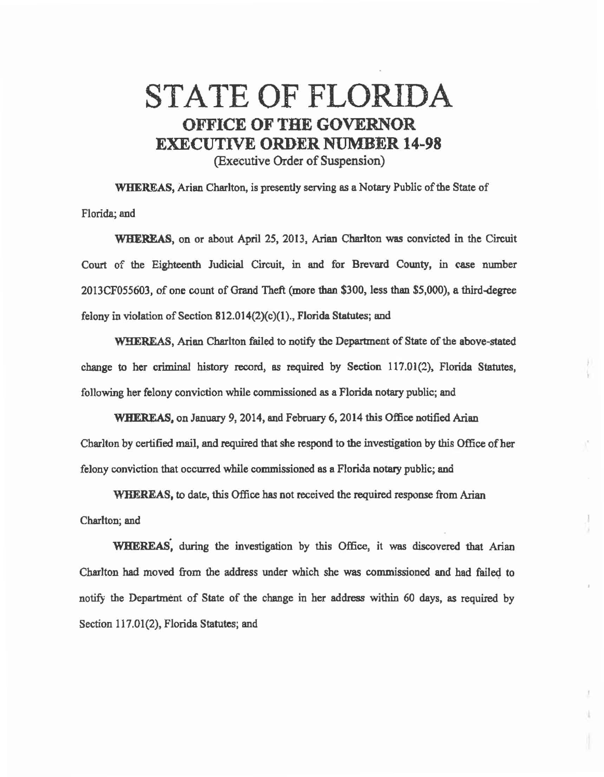## STATE OF FLORIDA OFFICE OF THE GOVERNOR EXECUTIVE ORDER NUMBER 14-98 (Executive Order of Suspension)

WHEREAS, Arian Charlton, is presently serving as a Notary Public of the State of Florida; and

WHEREAS, on or about April 25, 2013, Arian Charlton was convicted in the Circuit Court of the Eighteenth Judicial Circuit, in and for Brevard County, in case number 2013CF055603, of one count of Grand Theft (more than \$300, less than \$5,000), a third.degree felony in violation of Section  $812.014(2)(c)(1)$ ., Florida Statutes; and

WHEREAS, Arian Charlton failed to notify the Department of State of the above-stated change to her criminal history record, as required by Section 117.01(2), Florida Statutes, following her felony conviction while commissioned as a Florida notary public; and

WHEREAS, on January 9, 2014, and February 6, 2014 this Office notified Arian Charlton by certified mail, and required that she respond to the investigation by this Office of her felony conviction that occurred while commissioned as a Florida notary public; and

WHEREAS, to date, this Office has not received the required response from Arian Charlton; and

WHEREAS, during the investigation by this Office, it was discovered that Arian Charlton had moved from the address under which she was commissioned and had faile4 to notify the Department of State of the change in her address within 60 days, as required by Section 117.01(2), Florida Statutes; and

L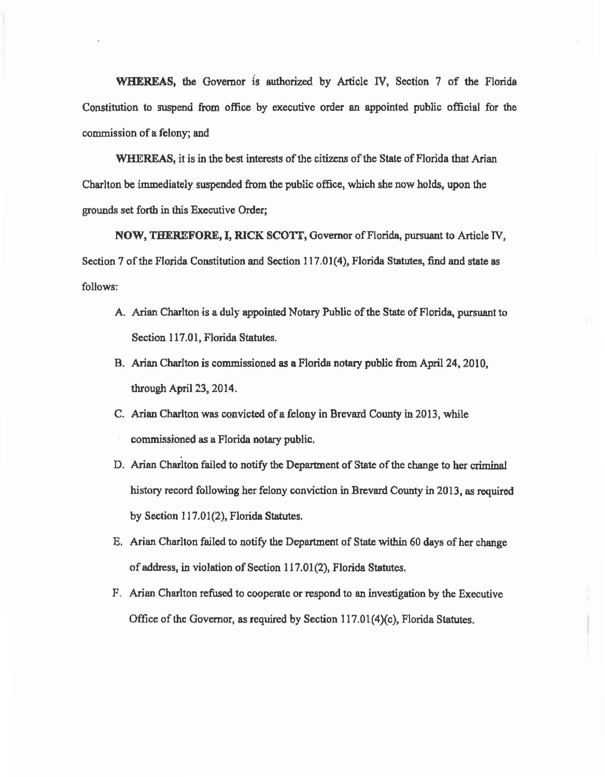WHEREAS. the Governor is authorized by Article IV, Section 7 of the Florida Constitution to suspend from office by executive order an appointed public official for the commission of a felony; and

WHEREAS, it is in the best interests of the citizens of the State of Florida that Arian Charlton be immediately suspended from the public office, which she now holds, upon the grounds set forth in this Executive Order;

NOW, THEREFORE, I, RICK SCOTT, Governor of Florida, pursuant to Article IV, Section 7 of the Florida Constitution and Section 117.01(4), Florida Statutes, find and state as follows:

- A. Arian Charlton is a duly appointed Notary Public of the State of Florida., pursuant to Section 117.01, Florida Statutes.
- B. Arian Charlton is commissioned as a Florida notary public from April 24, 2010, through April 23, 2014.
- C. Arian Charlton was convicted of a felony in Brevard County in 2013, while commissioned as a Florida notary public.
- D. Arian Charlton failed to notify the Department of State of the change to her criminal history record following her felony conviction in Brevard County in 2013, as required by Section 117.01(2), Florida Statutes.
- E. Arian Charlton failed to notify the Department of State within 60 days of her change of address, in violation of Section 117.01(2), Florida Statutes.
- F . Arian Charlton refused to cooperate or respond to an investigation by the Executive Office of the Governor, as required by Section 117.01(4)(c), Florida Statutes.